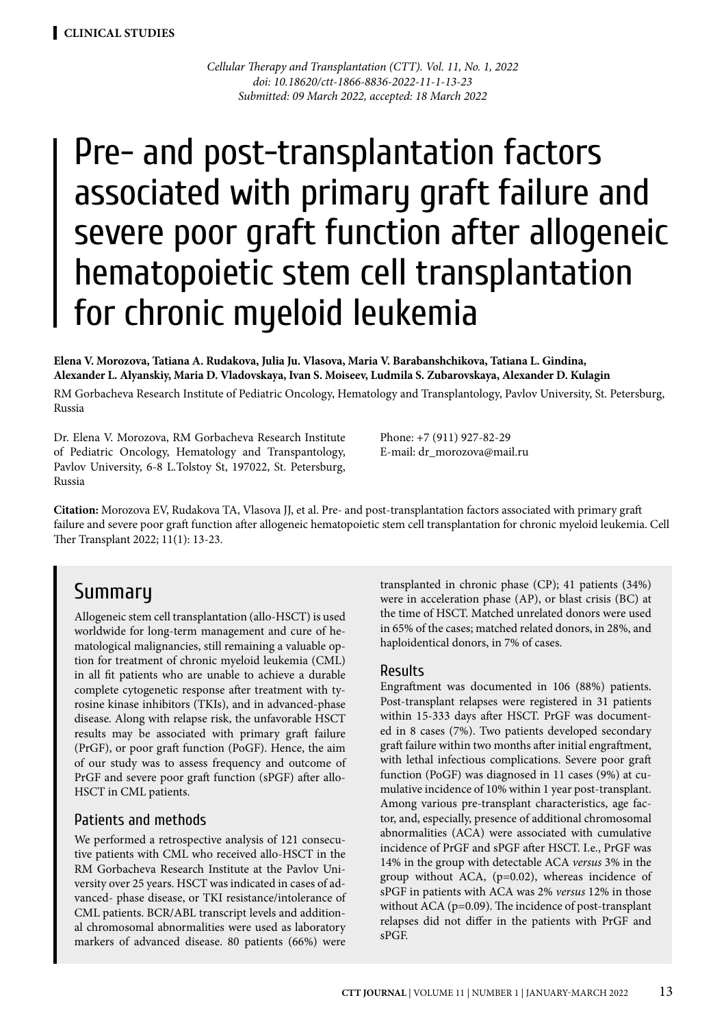*Cellular Therapy and Transplantation (CTT). Vol. 11, No. 1, 2022 doi: 10.18620/ctt-1866-8836-2022-11-1-13-23 Submitted: 09 March 2022, accepted: 18 March 2022*

# Pre- and post-transplantation factors associated with primary graft failure and severe poor graft function after allogeneic hematopoietic stem cell transplantation for chronic myeloid leukemia

#### **Elena V. Morozova, Tatiana A. Rudakova, Julia Ju. Vlasova, Maria V. Barabanshchikova, Tatiana L. Gindina, Alexander L. Alyanskiy, Maria D. Vladovskaya, Ivan S. Moiseev, Ludmila S. Zubarovskaya, Alexander D. Kulagin**

RM Gorbacheva Research Institute of Pediatric Oncology, Hematology and Transplantology, Pavlov University, St. Petersburg, Russia

Dr. Elena V. Morozova, RM Gorbacheva Research Institute of Pediatric Oncology, Hematology and Transpantology, Pavlov University, 6-8 L.Tolstoy St, 197022, St. Petersburg, Russia

Phone: +7 (911) 927-82-29 E-mail: dr\_morozova@mail.ru

**Citation:** Morozova EV, Rudakova TA, Vlasova JJ, et al. Pre- and post-transplantation factors associated with primary graft failure and severe poor graft function after allogeneic hematopoietic stem cell transplantation for chronic myeloid leukemia. Cell Ther Transplant 2022; 11(1): 13-23.

### Summary

Allogeneic stem cell transplantation (allo-HSCT) is used worldwide for long-term management and cure of hematological malignancies, still remaining a valuable option for treatment of chronic myeloid leukemia (CML) in all fit patients who are unable to achieve a durable complete cytogenetic response after treatment with tyrosine kinase inhibitors (TKIs), and in advanced-phase disease. Along with relapse risk, the unfavorable HSCT results may be associated with primary graft failure (PrGF), or poor graft function (PoGF). Hence, the aim of our study was to assess frequency and outcome of PrGF and severe poor graft function (sPGF) after allo-HSCT in CML patients.

#### Patients and methods

We performed a retrospective analysis of 121 consecutive patients with CML who received allo-HSCT in the RM Gorbacheva Research Institute at the Pavlov University over 25 years. HSCT was indicated in cases of advanced- phase disease, or TKI resistance/intolerance of CML patients. BCR/ABL transcript levels and additional chromosomal abnormalities were used as laboratory markers of advanced disease. 80 patients (66%) were

transplanted in chronic phase (CP); 41 patients (34%) were in acceleration phase (AP), or blast crisis (BC) at the time of HSCT. Matched unrelated donors were used in 65% of the cases; matched related donors, in 28%, and haploidentical donors, in 7% of cases.

#### Results

Engraftment was documented in 106 (88%) patients. Post-transplant relapses were registered in 31 patients within 15-333 days after HSCT. PrGF was documented in 8 cases (7%). Two patients developed secondary graft failure within two months after initial engraftment, with lethal infectious complications. Severe poor graft function (PoGF) was diagnosed in 11 cases (9%) at cumulative incidence of 10% within 1 year post-transplant. Among various pre-transplant characteristics, age factor, and, especially, presence of additional chromosomal abnormalities (ACA) were associated with cumulative incidence of PrGF and sPGF after HSCT. I.e., PrGF was 14% in the group with detectable ACA *versus* 3% in the group without ACA, (p=0.02), whereas incidence of sPGF in patients with ACA was 2% *versus* 12% in those without ACA (p=0.09). The incidence of post-transplant relapses did not differ in the patients with PrGF and sPGF.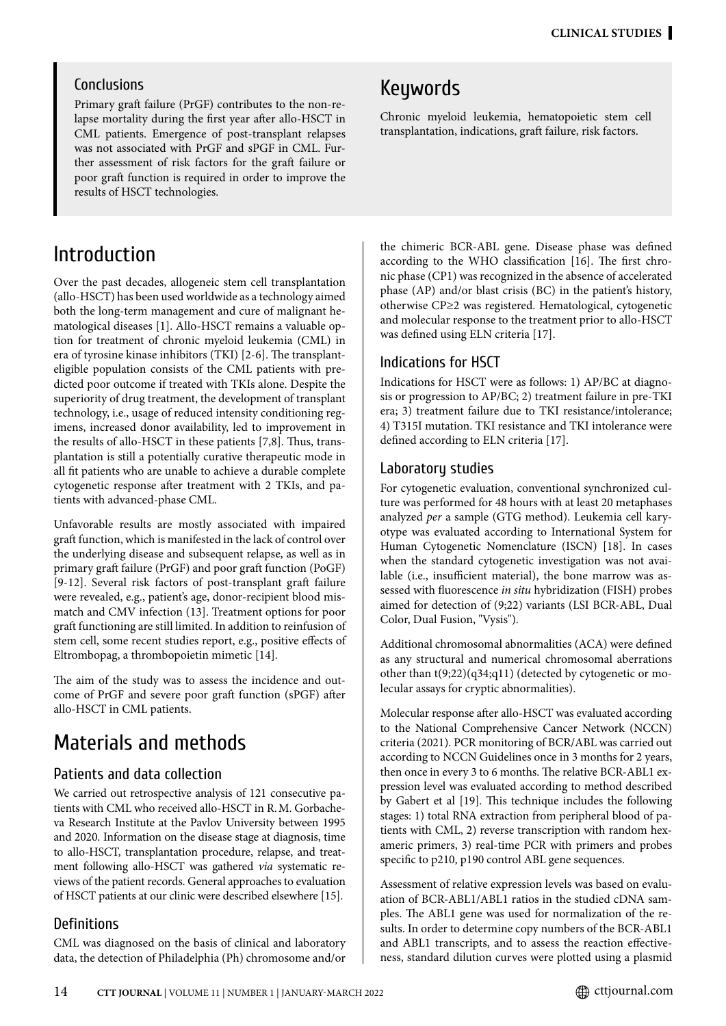#### Conclusions

Primary graft failure (PrGF) contributes to the non-relapse mortality during the first year after allo-HSCT in CML patients. Emergence of post-transplant relapses was not associated with PrGF and sPGF in CML. Further assessment of risk factors for the graft failure or poor graft function is required in order to improve the results of HSCT technologies.

### Introduction

Over the past decades, allogeneic stem cell transplantation (allo-HSCT) has been used worldwide as a technology aimed both the long-term management and cure of malignant hematological diseases [1]. Allo-HSCT remains a valuable option for treatment of chronic myeloid leukemia (CML) in era of tyrosine kinase inhibitors (TKI) [2-6]. The transplanteligible population consists of the CML patients with predicted poor outcome if treated with TKIs alone. Despite the superiority of drug treatment, the development of transplant technology, i.e., usage of reduced intensity conditioning regimens, increased donor availability, led to improvement in the results of allo-HSCT in these patients [7,8]. Thus, transplantation is still a potentially curative therapeutic mode in all fit patients who are unable to achieve a durable complete cytogenetic response after treatment with 2 TKIs, and patients with advanced-phase CML.

Unfavorable results are mostly associated with impaired graft function, which is manifested in the lack of control over the underlying disease and subsequent relapse, as well as in primary graft failure (PrGF) and poor graft function (PoGF) [9-12]. Several risk factors of post-transplant graft failure were revealed, e.g., patient's age, donor-recipient blood mismatch and CMV infection (13]. Treatment options for poor graft functioning are still limited. In addition to reinfusion of stem cell, some recent studies report, e.g., positive effects of Eltrombopag, a thrombopoietin mimetic [14].

The aim of the study was to assess the incidence and outcome of PrGF and severe poor graft function (sPGF) after allo-HSCT in CML patients.

### Materials and methods

#### Patients and data collection

We carried out retrospective analysis of 121 consecutive patients with CML who received allo-HSCT in R.M. Gorbacheva Research Institute at the Pavlov University between 1995 and 2020. Information on the disease stage at diagnosis, time to allo-HSCT, transplantation procedure, relapse, and treatment following allo-HSCT was gathered *via* systematic reviews of the patient records. General approaches to evaluation of HSCT patients at our clinic were described elsewhere [15].

#### Definitions

CML was diagnosed on the basis of clinical and laboratory data, the detection of Philadelphia (Ph) chromosome and/or

## Keywords

Chronic myeloid leukemia, hematopoietic stem cell transplantation, indications, graft failure, risk factors.

the chimeric BCR-ABL gene. Disease phase was defined according to the WHO classification [16]. The first chronic phase (CP1) was recognized in the absence of accelerated phase (AP) and/or blast crisis (BC) in the patient's history, otherwise CP≥2 was registered. Hematological, cytogenetic and molecular response to the treatment prior to allo-HSCT was defined using ELN criteria [17].

#### Indications for HSCT

Indications for HSCT were as follows: 1) AP/BC at diagnosis or progression to AP/BC; 2) treatment failure in pre-TKI era; 3) treatment failure due to TKI resistance/intolerance; 4) T315I mutation. TKI resistance and TKI intolerance were defined according to ELN criteria [17].

#### Laboratory studies

For cytogenetic evaluation, conventional synchronized culture was performed for 48 hours with at least 20 metaphases analyzed *per* a sample (GTG method). Leukemia cell karyotype was evaluated according to International System for Human Cytogenetic Nomenclature (ISCN) [18]. In cases when the standard cytogenetic investigation was not available (i.e., insufficient material), the bone marrow was assessed with fluorescence *in situ* hybridization (FISH) probes aimed for detection of (9;22) variants (LSI BCR-ABL, Dual Color, Dual Fusion, "Vysis").

Additional chromosomal abnormalities (ACA) were defined as any structural and numerical chromosomal aberrations other than t(9;22)(q34;q11) (detected by cytogenetic or molecular assays for cryptic abnormalities).

Molecular response after allo-HSCT was evaluated according to the National Comprehensive Cancer Network (NCCN) criteria (2021). PCR monitoring of BCR/ABL was carried out according to NCCN Guidelines once in 3 months for 2 years, then once in every 3 to 6 months. The relative BCR-ABL1 expression level was evaluated according to method described by Gabert et al [19]. This technique includes the following stages: 1) total RNA extraction from peripheral blood of patients with CML, 2) reverse transcription with random hexameric primers, 3) real-time PCR with primers and probes specific to p210, p190 control ABL gene sequences.

Assessment of relative expression levels was based on evaluation of BCR-ABL1/ABL1 ratios in the studied cDNA samples. The ABL1 gene was used for normalization of the results. In order to determine copy numbers of the BCR-ABL1 and ABL1 transcripts, and to assess the reaction effectiveness, standard dilution curves were plotted using a plasmid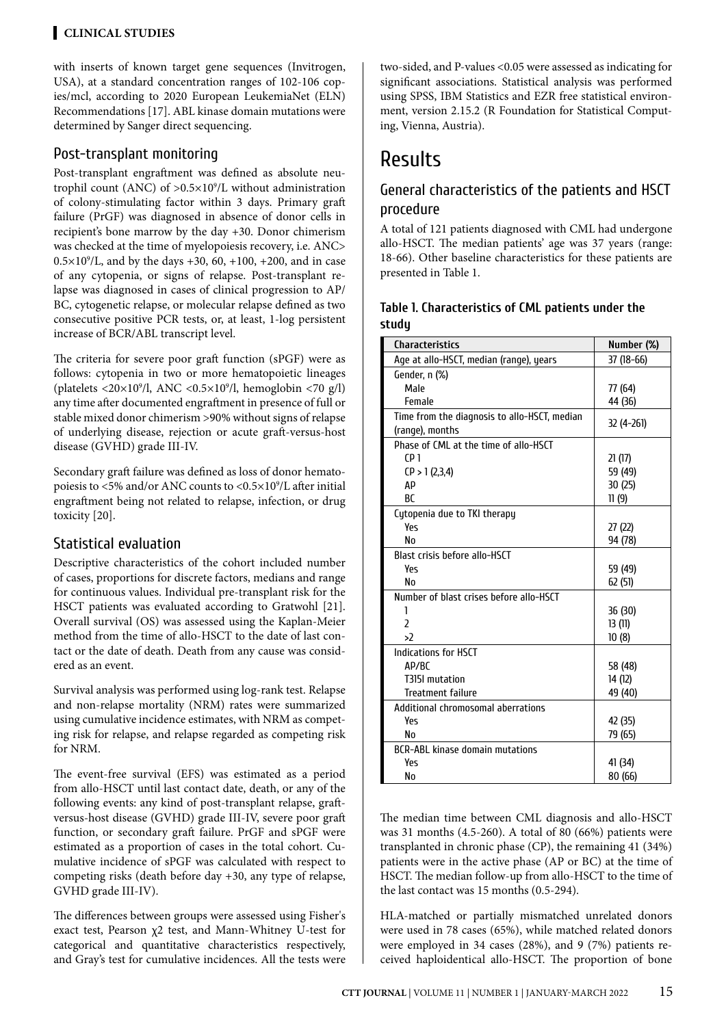#### **Clinical STUDIES**

with inserts of known target gene sequences (Invitrogen, USA), at a standard concentration ranges of 102-106 copies/mcl, according to 2020 European LeukemiaNet (ELN) Recommendations [17]. ABL kinase domain mutations were determined by Sanger direct sequencing.

#### Post-transplant monitoring

Post-transplant engraftment was defined as absolute neutrophil count (ANC) of >0.5×109 /L without administration of colony-stimulating factor within 3 days. Primary graft failure (PrGF) was diagnosed in absence of donor cells in recipient's bone marrow by the day +30. Donor chimerism was checked at the time of myelopoiesis recovery, i.e. ANC>  $0.5 \times 10^9$ /L, and by the days +30, 60, +100, +200, and in case of any cytopenia, or signs of relapse. Post-transplant relapse was diagnosed in cases of clinical progression to AP/ BC, cytogenetic relapse, or molecular relapse defined as two consecutive positive PCR tests, or, at least, 1-log persistent increase of BCR/ABL transcript level.

The criteria for severe poor graft function (sPGF) were as follows: cytopenia in two or more hematopoietic lineages (platelets <20×109 /l, ANC <0.5×109 /l, hemoglobin <70 g/l) any time after documented engraftment in presence of full or stable mixed donor chimerism >90% without signs of relapse of underlying disease, rejection or acute graft-versus-host disease (GVHD) grade III-IV.

Secondary graft failure was defined as loss of donor hematopoiesis to <5% and/or ANC counts to <0.5×109 /L after initial engraftment being not related to relapse, infection, or drug toxicity [20].

#### Statistical evaluation

Descriptive characteristics of the cohort included number of cases, proportions for discrete factors, medians and range for continuous values. Individual pre-transplant risk for the HSCT patients was evaluated according to Gratwohl [21]. Overall survival (OS) was assessed using the Kaplan-Meier method from the time of allo-HSCT to the date of last contact or the date of death. Death from any cause was considered as an event.

Survival analysis was performed using log-rank test. Relapse and non-relapse mortality (NRM) rates were summarized using cumulative incidence estimates, with NRM as competing risk for relapse, and relapse regarded as competing risk for NRM.

The event-free survival (EFS) was estimated as a period from allo-HSCT until last contact date, death, or any of the following events: any kind of post-transplant relapse, graftversus-host disease (GVHD) grade III-IV, severe poor graft function, or secondary graft failure. PrGF and sPGF were estimated as a proportion of cases in the total cohort. Cumulative incidence of sPGF was calculated with respect to competing risks (death before day +30, any type of relapse, GVHD grade III-IV).

The differences between groups were assessed using Fisher's exact test, Pearson χ2 test, and Mann-Whitney U-test for categorical and quantitative characteristics respectively, and Gray's test for cumulative incidences. All the tests were

two-sided, and P-values <0.05 were assessed as indicating for significant associations. Statistical analysis was performed using SPSS, IBM Statistics and EZR free statistical environment, version 2.15.2 (R Foundation for Statistical Computing, Vienna, Austria).

# Results

#### General characteristics of the patients and HSCT procedure

A total of 121 patients diagnosed with CML had undergone allo-HSCT. The median patients' age was 37 years (range: 18-66). Other baseline characteristics for these patients are presented in Table 1.

| Table 1. Characteristics of CML patients under the |  |
|----------------------------------------------------|--|
| study                                              |  |

| <b>Characteristics</b>                       | Number (%) |
|----------------------------------------------|------------|
| Age at allo-HSCT, median (range), years      | 37 (18-66) |
| Gender, n (%)                                |            |
| Male                                         | 77 (64)    |
| Female                                       | 44 (36)    |
| Time from the diagnosis to allo-HSCT, median | 32 (4-261) |
| (range), months                              |            |
| Phase of CML at the time of allo-HSCT        |            |
| (P <sub>1</sub> )                            | 21(17)     |
| (P > 1 (2,3,4))                              | 59 (49)    |
| AP                                           | 30 (25)    |
| <b>BC</b>                                    | 11 (9)     |
| Cytopenia due to TKI therapy                 |            |
| Υρς                                          | 27 (22)    |
| No                                           | 94 (78)    |
| Blast crisis before allo-HSCT                |            |
| Yρς                                          | 59 (49)    |
| No                                           | 62(51)     |
| Number of blast crises before allo-HSCT      |            |
| 1                                            | 36 (30)    |
| $\overline{2}$                               | 13(11)     |
| $\mathcal{L}$                                | 10(8)      |
| Indications for HSCT                         |            |
| AP/BC                                        | 58 (48)    |
| T315I mutation                               | 14 (12)    |
| <b>Treatment failure</b>                     | 49 (40)    |
| Additional chromosomal aberrations           |            |
| Yes                                          | 42 (35)    |
| No                                           | 79 (65)    |
| <b>BCR-ABL kinase domain mutations</b>       |            |
| Yρς                                          | 41 (34)    |
| No                                           | 80 (66)    |

The median time between CML diagnosis and allo-HSCT was 31 months (4.5-260). A total of 80 (66%) patients were transplanted in chronic phase (CP), the remaining 41 (34%) patients were in the active phase (AP or BC) at the time of HSCT. The median follow-up from allo-HSCT to the time of the last contact was 15 months (0.5-294).

HLA-matched or partially mismatched unrelated donors were used in 78 cases (65%), while matched related donors were employed in 34 cases (28%), and 9 (7%) patients received haploidentical allo-HSCT. The proportion of bone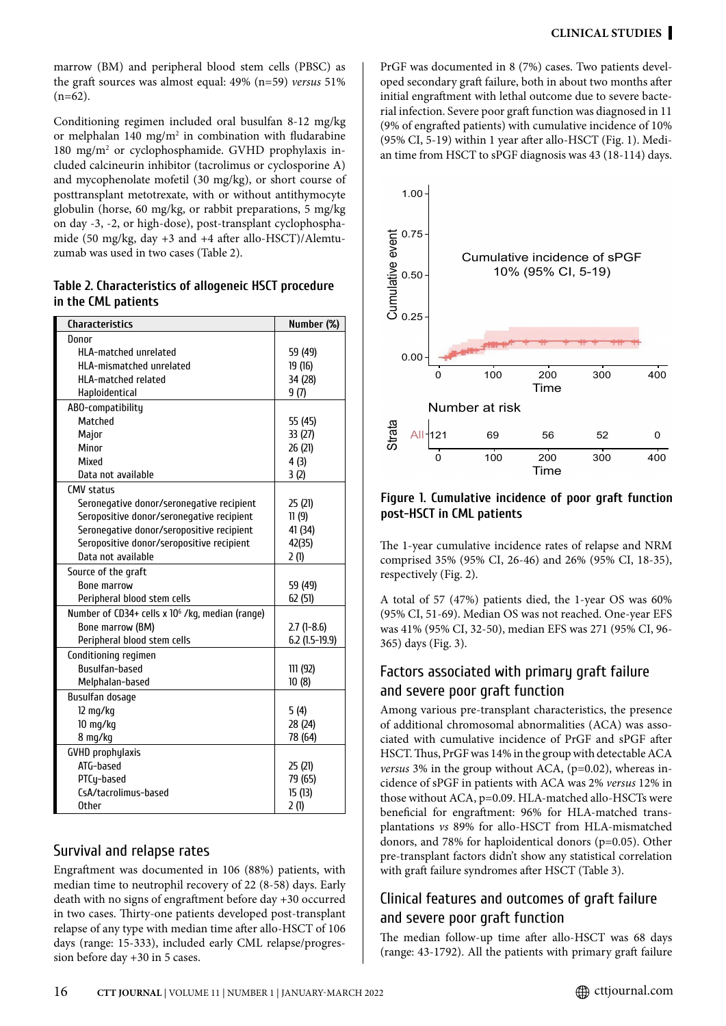marrow (BM) and peripheral blood stem cells (PBSC) as the graft sources was almost equal: 49% (n=59) *versus* 51%  $(n=62)$ .

Conditioning regimen included oral busulfan 8-12 mg/kg or melphalan 140 mg/m $^2$  in combination with fludarabine 180 mg/m2 or cyclophosphamide. GVHD prophylaxis included calcineurin inhibitor (tacrolimus or cyclosporine A) and mycophenolate mofetil (30 mg/kg), or short course of posttransplant metotrexate, with or without antithymocyte globulin (horse, 60 mg/kg, or rabbit preparations, 5 mg/kg on day -3, -2, or high-dose), post-transplant cyclophosphamide (50 mg/kg, day +3 and +4 after allo-HSCT)/Alemtuzumab was used in two cases (Table 2).

**Table 2. Characteristics of allogeneic HSCT procedure in the CML patients**

| <b>Characteristics</b>                                      | Number (%)       |
|-------------------------------------------------------------|------------------|
| Donor                                                       |                  |
| <b>HLA-matched unrelated</b>                                | 59 (49)          |
| HLA-mismatched unrelated                                    | 19 (16)          |
| <b>HLA-matched related</b>                                  | 34 (28)          |
| Haploidentical                                              | 9(7)             |
| ABO-compatibility                                           |                  |
| Matched                                                     | 55 (45)          |
| Major                                                       | 33 (27)          |
| Minor                                                       | 26 (21)          |
| Mixed                                                       | 4(3)             |
| Data not available                                          | 3(2)             |
| <b>CMV status</b>                                           |                  |
| Seronegative donor/seronegative recipient                   | 25 (21)          |
| Seropositive donor/seronegative recipient                   | 11(9)            |
| Seronegative donor/seropositive recipient                   | 41 (34)          |
| Seropositive donor/seropositive recipient                   | 42(35)           |
| Data not available                                          | 2(1)             |
| Source of the graft                                         |                  |
| <b>Bone marrow</b>                                          | 59 (49)          |
| Peripheral blood stem cells                                 | 62 (51)          |
| Number of CD34+ cells x 10 <sup>6</sup> /kg, median (range) |                  |
| Bone marrow (BM)                                            | $2.7(1-8.6)$     |
| Peripheral blood stem cells                                 | $6.2$ (1.5-19.9) |
| Conditioning regimen                                        |                  |
| <b>Busulfan-based</b>                                       | 111 (92)         |
| Melphalan-based                                             | 10(8)            |
| <b>Busulfan dosage</b>                                      |                  |
| 12 mg/kg                                                    | 5(4)             |
| 10 mg/kg                                                    | 28 (24)          |
| 8 mg/kg                                                     | 78 (64)          |
| <b>GVHD</b> prophylaxis                                     |                  |
| ATG-based                                                   | 25 (21)          |
| PTCy-based                                                  | 79 (65)          |
| CsA/tacrolimus-based                                        | 15(13)           |
| <b>Other</b>                                                | 2(1)             |

#### Survival and relapse rates

Engraftment was documented in 106 (88%) patients, with median time to neutrophil recovery of 22 (8-58) days. Early death with no signs of engraftment before day +30 occurred in two cases. Thirty-one patients developed post-transplant relapse of any type with median time after allo-HSCT of 106 days (range: 15-333), included early CML relapse/progression before day +30 in 5 cases.

PrGF was documented in 8 (7%) cases. Two patients developed secondary graft failure, both in about two months after initial engraftment with lethal outcome due to severe bacterial infection. Severe poor graft function was diagnosed in 11 (9% of engrafted patients) with cumulative incidence of 10% (95% CI, 5-19) within 1 year after allo-HSCT (Fig. 1). Median time from HSCT to sPGF diagnosis was 43 (18-114) days.



#### **Figure 1. Cumulative incidence of poor graft function post-HSCT in CML patients**

The 1-year cumulative incidence rates of relapse and NRM comprised 35% (95% CI, 26-46) and 26% (95% CI, 18-35), respectively (Fig. 2).

A total of 57 (47%) patients died, the 1-year OS was 60% (95% CI, 51-69). Median OS was not reached. One-year EFS was 41% (95% CI, 32-50), median EFS was 271 (95% CI, 96- 365) days (Fig. 3).

#### Factors associated with primary graft failure and severe poor graft function

Among various pre-transplant characteristics, the presence of additional chromosomal abnormalities (ACA) was associated with cumulative incidence of PrGF and sPGF after HSCT. Thus, PrGF was 14% in the group with detectable ACA *versus* 3% in the group without ACA, (p=0.02), whereas incidence of sPGF in patients with ACA was 2% *versus* 12% in those without ACA, p=0.09. HLA-matched allo-HSCTs were beneficial for engraftment: 96% for HLA-matched transplantations *vs* 89% for allo-HSCT from HLA-mismatched donors, and 78% for haploidentical donors (p=0.05). Other pre-transplant factors didn't show any statistical correlation with graft failure syndromes after HSCT (Table 3).

#### Clinical features and outcomes of graft failure and severe poor graft function

The median follow-up time after allo-HSCT was 68 days (range: 43-1792). All the patients with primary graft failure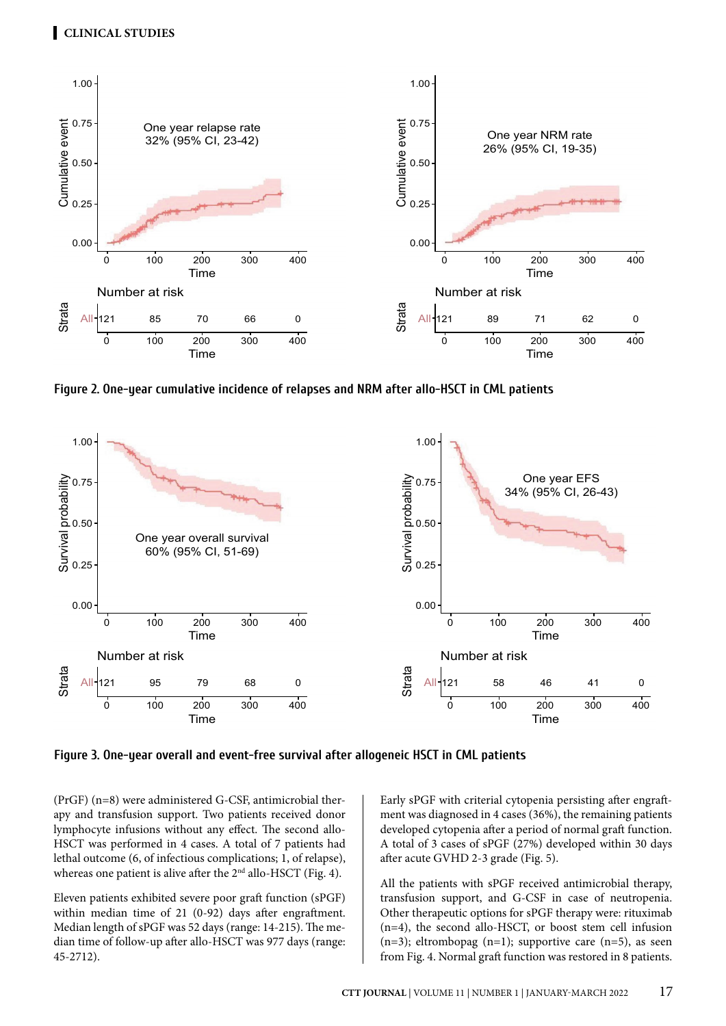

**Figure 2. One-year cumulative incidence of relapses and NRM after allo-HSCT in CML patients**



**Figure 3. One-year overall and event-free survival after allogeneic HSCT in CML patients**

(PrGF) (n=8) were administered G-CSF, antimicrobial therapy and transfusion support. Two patients received donor lymphocyte infusions without any effect. The second allo-HSCT was performed in 4 cases. A total of 7 patients had lethal outcome (6, of infectious complications; 1, of relapse), whereas one patient is alive after the 2<sup>nd</sup> allo-HSCT (Fig. 4).

Eleven patients exhibited severe poor graft function (sPGF) within median time of 21 (0-92) days after engraftment. Median length of sPGF was 52 days (range: 14-215). The median time of follow-up after allo-HSCT was 977 days (range: 45-2712).

Early sPGF with criterial cytopenia persisting after engraftment was diagnosed in 4 cases (36%), the remaining patients developed cytopenia after a period of normal graft function. A total of 3 cases of sPGF (27%) developed within 30 days after acute GVHD 2-3 grade (Fig. 5).

All the patients with sPGF received antimicrobial therapy, transfusion support, and G-CSF in case of neutropenia. Other therapeutic options for sPGF therapy were: rituximab (n=4), the second allo-HSCT, or boost stem cell infusion  $(n=3)$ ; eltrombopag  $(n=1)$ ; supportive care  $(n=5)$ , as seen from Fig. 4. Normal graft function was restored in 8 patients.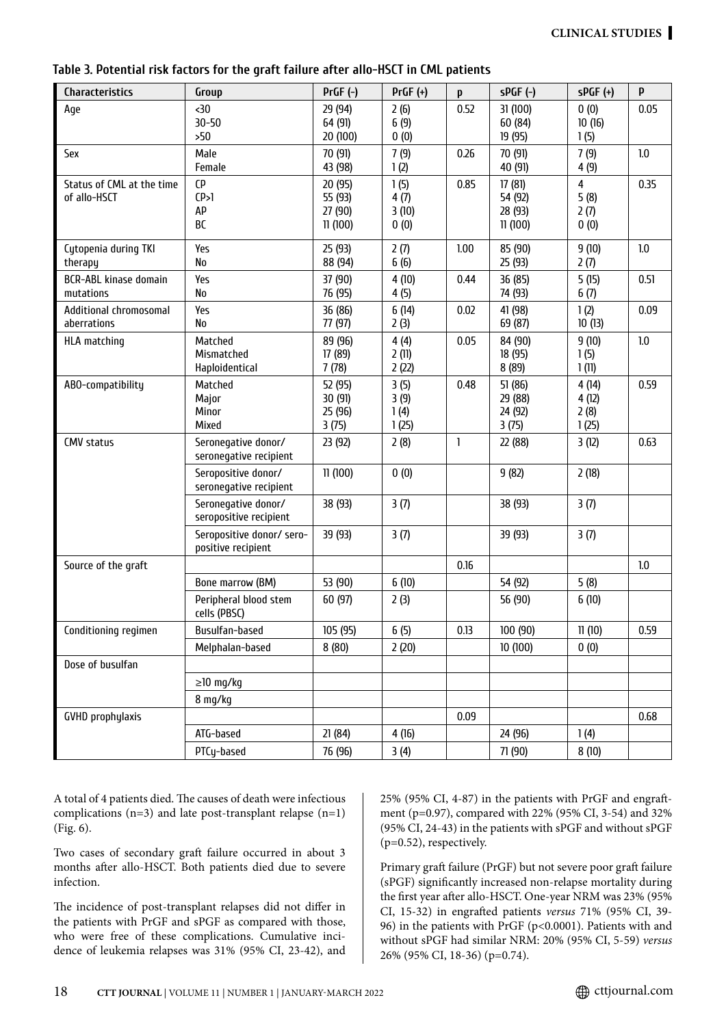| <b>Characteristics</b>                    | Group                                                     | $PrGF(-)$                                | $PrGF (+)$                    | p    | $sPGF(-)$                               | $sPGF (+)$                             | P    |
|-------------------------------------------|-----------------------------------------------------------|------------------------------------------|-------------------------------|------|-----------------------------------------|----------------------------------------|------|
| Age                                       | $30$<br>$30 - 50$<br>>50                                  | 29 (94)<br>64 (91)<br>20 (100)           | 2(6)<br>6(9)<br>0(0)          | 0.52 | 31 (100)<br>60 (84)<br>19 (95)          | 0(0)<br>10(16)<br>1(5)                 | 0.05 |
| Sex                                       | Male<br>Female                                            | 70 (91)<br>43 (98)                       | 7(9)<br>1(2)                  | 0.26 | 70 (91)<br>40 (91)                      | 7(9)<br>4(9)                           | 1.0  |
| Status of CML at the time<br>of allo-HSCT | <b>CP</b><br>(P>1)<br>AP<br>BC                            | 20 (95)<br>55 (93)<br>27 (90)<br>11(100) | 1(5)<br>4(7)<br>3(10)<br>0(0) | 0.85 | 17(81)<br>54 (92)<br>28 (93)<br>11(100) | $\overline{4}$<br>5(8)<br>2(7)<br>0(0) | 0.35 |
| Cytopenia during TKI<br>therapy           | Yes<br>No                                                 | 25 (93)<br>88 (94)                       | 2(7)<br>6(6)                  | 1.00 | 85 (90)<br>25 (93)                      | 9(10)<br>2(7)                          | 1.0  |
| <b>BCR-ABL kinase domain</b><br>mutations | Yes<br><b>No</b>                                          | 37 (90)<br>76 (95)                       | 4(10)<br>4(5)                 | 0.44 | 36 (85)<br>74 (93)                      | 5(15)<br>6(7)                          | 0.51 |
| Additional chromosomal<br>aberrations     | Yes<br>No                                                 | 36 (86)<br>77 (97)                       | 6(14)<br>2(3)                 | 0.02 | 41 (98)<br>69 (87)                      | 1(2)<br>10(13)                         | 0.09 |
| <b>HLA matching</b>                       | Matched<br>Mismatched<br>Haploidentical                   | 89 (96)<br>17 (89)<br>7(78)              | 4(4)<br>2(11)<br>2(22)        | 0.05 | 84 (90)<br>18 (95)<br>8 (89)            | 9(10)<br>1(5)<br>1(11)                 | 1.0  |
| ABO-compatibility                         | Matched<br>Major<br>Minor<br>Mixed                        | 52 (95)<br>30 (91)<br>25 (96)<br>3(75)   | 3(5)<br>3(9)<br>1(4)<br>1(25) | 0.48 | 51(86)<br>29 (88)<br>24 (92)<br>3(75)   | 4 (14)<br>4 (12)<br>2(8)<br>1(25)      | 0.59 |
| <b>CMV status</b>                         | Seronegative donor/<br>seronegative recipient             | 23 (92)                                  | 2(8)                          | 1    | 22 (88)                                 | 3(12)                                  | 0.63 |
|                                           | Seropositive donor/<br>seronegative recipient             | 11(100)                                  | 0(0)                          |      | 9(82)                                   | 2(18)                                  |      |
|                                           | Seronegative donor/<br>seropositive recipient             | 38 (93)                                  | 3(7)                          |      | 38 (93)                                 | 3(7)                                   |      |
|                                           | Seropositive donor/sero-<br>positive recipient            | 39 (93)                                  | 3(7)                          |      | 39 (93)                                 | 3(7)                                   |      |
| Source of the graft                       |                                                           |                                          |                               | 0.16 |                                         |                                        | 1.0  |
|                                           | Bone marrow (BM)<br>Peripheral blood stem<br>cells (PBSC) | 53 (90)<br>60 (97)                       | 6(10)<br>2(3)                 |      | 54 (92)<br>56 (90)                      | 5(8)<br>6(10)                          |      |
| Conditioning regimen                      | Busulfan-based                                            | 105 (95)                                 | 6(5)                          | 0.13 | 100 (90)                                | 11(10)                                 | 0.59 |
|                                           | Melphalan-based                                           | 8(80)                                    | 2(20)                         |      | 10 (100)                                | 0(0)                                   |      |
| Dose of busulfan                          |                                                           |                                          |                               |      |                                         |                                        |      |
|                                           | $\geq$ 10 mg/kg                                           |                                          |                               |      |                                         |                                        |      |
|                                           | 8 mg/kg                                                   |                                          |                               |      |                                         |                                        |      |
| <b>GVHD</b> prophylaxis                   |                                                           |                                          |                               | 0.09 |                                         |                                        | 0.68 |
|                                           | ATG-based                                                 | 21(84)                                   | 4(16)                         |      | 24 (96)                                 | 1(4)                                   |      |
|                                           | PTCy-based                                                | 76 (96)                                  | 3(4)                          |      | 71 (90)                                 | 8(10)                                  |      |

#### **Table 3. Potential risk factors for the graft failure after allo-HSCT in CML patients**

A total of 4 patients died. The causes of death were infectious complications  $(n=3)$  and late post-transplant relapse  $(n=1)$ (Fig. 6).

Two cases of secondary graft failure occurred in about 3 months after allo-HSCT. Both patients died due to severe infection.

The incidence of post-transplant relapses did not differ in the patients with PrGF and sPGF as compared with those, who were free of these complications. Cumulative incidence of leukemia relapses was 31% (95% CI, 23-42), and 25% (95% CI, 4-87) in the patients with PrGF and engraftment (p=0.97), compared with 22% (95% CI, 3-54) and 32% (95% CI, 24-43) in the patients with sPGF and without sPGF (p=0.52), respectively.

Primary graft failure (PrGF) but not severe poor graft failure (sPGF) significantly increased non-relapse mortality during the first year after allo-HSCT. One-year NRM was 23% (95% CI, 15-32) in engrafted patients *versus* 71% (95% CI, 39- 96) in the patients with PrGF (p<0.0001). Patients with and without sPGF had similar NRM: 20% (95% CI, 5-59) *versus* 26% (95% CI, 18-36) (p=0.74).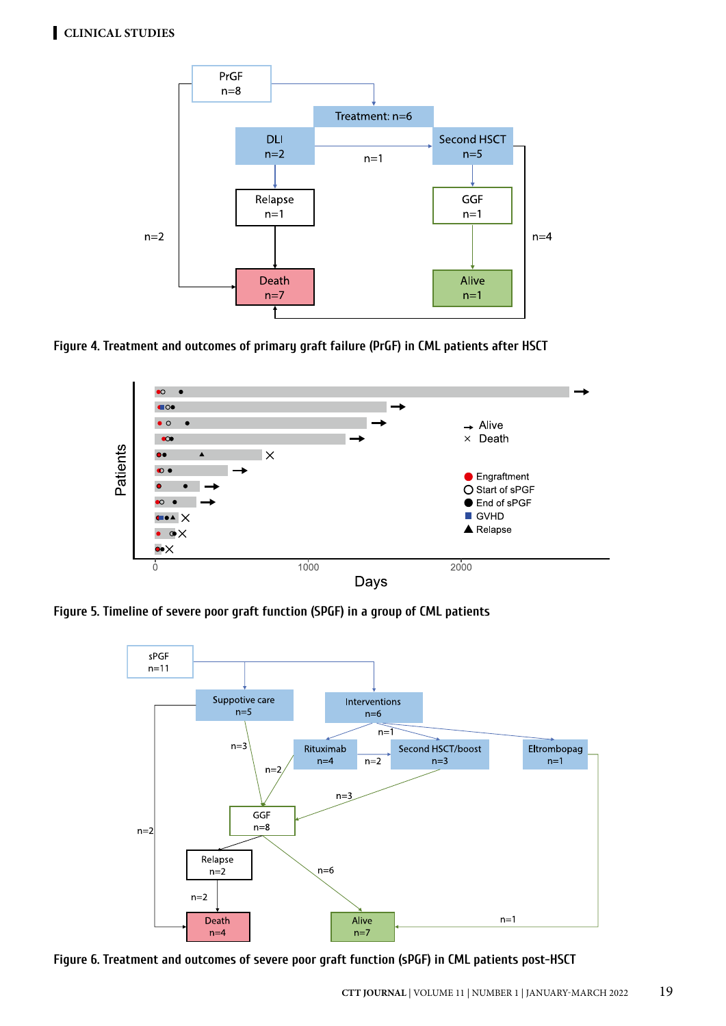

**Figure 4. Treatment and outcomes of primary graft failure (PrGF) in CML patients after HSCT**



**Figure 5. Timeline of severe poor graft function (SPGF) in a group of CML patients**



**Figure 6. Treatment and outcomes of severe poor graft function (sPGF) in CML patients post-HSCT**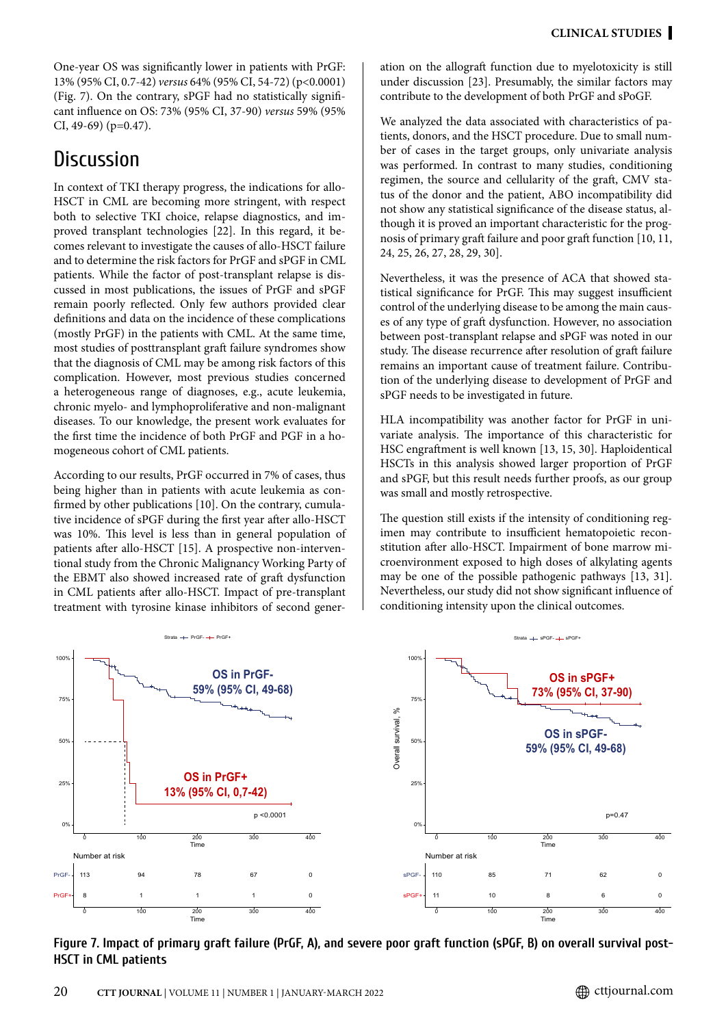One-year OS was significantly lower in patients with PrGF: 13% (95% CI, 0.7-42) *versus* 64% (95% CI, 54-72) (p<0.0001) (Fig. 7). On the contrary, sPGF had no statistically significant influence on OS: 73% (95% CI, 37-90) *versus* 59% (95% CI, 49-69) (p=0.47).

# **Discussion**

In context of TKI therapy progress, the indications for allo-HSCT in CML are becoming more stringent, with respect both to selective TKI choice, relapse diagnostics, and improved transplant technologies [22]. In this regard, it becomes relevant to investigate the causes of allo-HSCT failure and to determine the risk factors for PrGF and sPGF in CML patients. While the factor of post-transplant relapse is discussed in most publications, the issues of PrGF and sPGF remain poorly reflected. Only few authors provided clear definitions and data on the incidence of these complications (mostly PrGF) in the patients with CML. At the same time, most studies of posttransplant graft failure syndromes show that the diagnosis of CML may be among risk factors of this complication. However, most previous studies concerned a heterogeneous range of diagnoses, e.g., acute leukemia, chronic myelo- and lymphoproliferative and non-malignant diseases. To our knowledge, the present work evaluates for the first time the incidence of both PrGF and PGF in a homogeneous cohort of CML patients.

According to our results, PrGF occurred in 7% of cases, thus being higher than in patients with acute leukemia as confirmed by other publications [10]. On the contrary, cumulative incidence of sPGF during the first year after allo-HSCT was 10%. This level is less than in general population of patients after allo-HSCT [15]. A prospective non-interventional study from the Chronic Malignancy Working Party of the EBMT also showed increased rate of graft dysfunction in CML patients after allo-HSCT. Impact of pre-transplant treatment with tyrosine kinase inhibitors of second generation on the allograft function due to myelotoxicity is still under discussion [23]. Presumably, the similar factors may contribute to the development of both PrGF and sPoGF.

We analyzed the data associated with characteristics of patients, donors, and the HSCT procedure. Due to small number of cases in the target groups, only univariate analysis was performed. In contrast to many studies, conditioning regimen, the source and cellularity of the graft, CMV status of the donor and the patient, ABO incompatibility did not show any statistical significance of the disease status, although it is proved an important characteristic for the prognosis of primary graft failure and poor graft function [10, 11, 24, 25, 26, 27, 28, 29, 30].

Nevertheless, it was the presence of ACA that showed statistical significance for PrGF. This may suggest insufficient control of the underlying disease to be among the main causes of any type of graft dysfunction. However, no association between post-transplant relapse and sPGF was noted in our study. The disease recurrence after resolution of graft failure remains an important cause of treatment failure. Contribution of the underlying disease to development of PrGF and sPGF needs to be investigated in future.

HLA incompatibility was another factor for PrGF in univariate analysis. The importance of this characteristic for HSC engraftment is well known [13, 15, 30]. Haploidentical HSCTs in this analysis showed larger proportion of PrGF and sPGF, but this result needs further proofs, as our group was small and mostly retrospective.

The question still exists if the intensity of conditioning regimen may contribute to insufficient hematopoietic reconstitution after allo-HSCT. Impairment of bone marrow microenvironment exposed to high doses of alkylating agents may be one of the possible pathogenic pathways [13, 31]. Nevertheless, our study did not show significant influence of conditioning intensity upon the clinical outcomes.



**Figure 7. Impact of primary graft failure (PrGF, A), and severe poor graft function (sPGF, B) on overall survival post-HSCT in CML patients**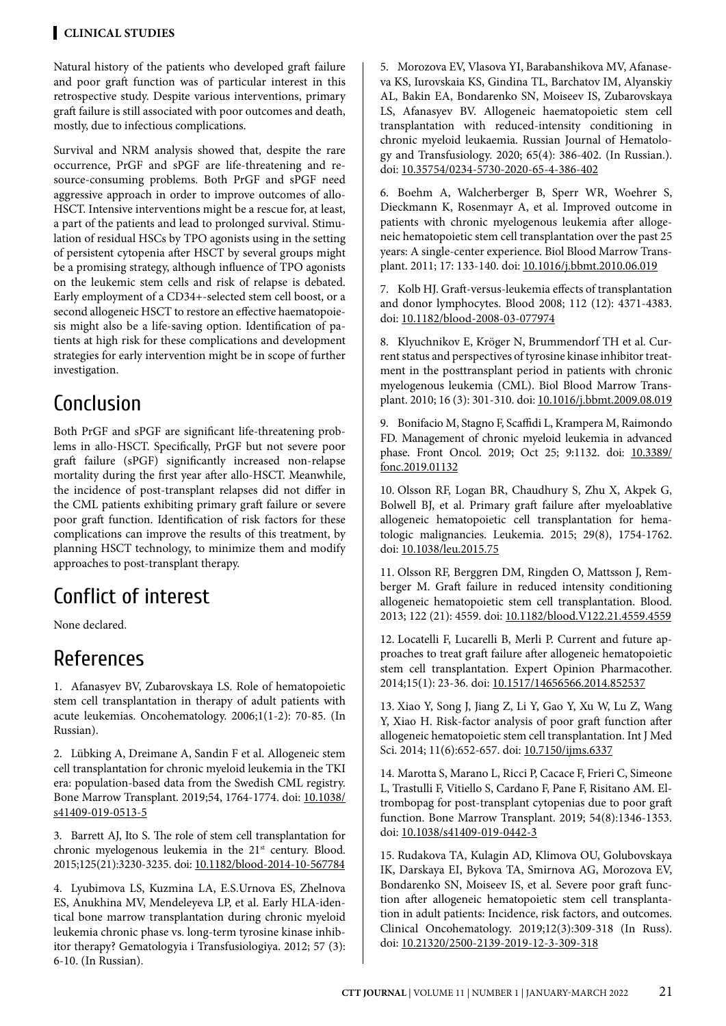#### **Clinical STUDIES**

Natural history of the patients who developed graft failure and poor graft function was of particular interest in this retrospective study. Despite various interventions, primary graft failure is still associated with poor outcomes and death, mostly, due to infectious complications.

Survival and NRM analysis showed that, despite the rare occurrence, PrGF and sPGF are life-threatening and resource-consuming problems. Both PrGF and sPGF need aggressive approach in order to improve outcomes of allo-HSCT. Intensive interventions might be a rescue for, at least, a part of the patients and lead to prolonged survival. Stimulation of residual HSCs by TPO agonists using in the setting of persistent cytopenia after HSCT by several groups might be a promising strategy, although influence of TPO agonists on the leukemic stem cells and risk of relapse is debated. Early employment of a CD34+-selected stem cell boost, or a second allogeneic HSCT to restore an effective haematopoiesis might also be a life-saving option. Identification of patients at high risk for these complications and development strategies for early intervention might be in scope of further investigation.

# Conclusion

Both PrGF and sPGF are significant life-threatening problems in allo-HSCT. Specifically, PrGF but not severe poor graft failure (sPGF) significantly increased non-relapse mortality during the first year after allo-HSCT. Meanwhile, the incidence of post-transplant relapses did not differ in the CML patients exhibiting primary graft failure or severe poor graft function. Identification of risk factors for these complications can improve the results of this treatment, by planning HSCT technology, to minimize them and modify approaches to post-transplant therapy.

# Conflict of interest

None declared.

# References

1. Afanasyev BV, Zubarovskaya LS. Role of hematopoietic stem cell transplantation in therapy of adult patients with acute leukemias. Oncohematology. 2006;1(1-2): 70-85. (In Russian).

2. Lübking A, Dreimane A, Sandin F et al. Allogeneic stem cell transplantation for chronic myeloid leukemia in the TKI era: population-based data from the Swedish CML registry. Bone Marrow Transplant. 2019;54, 1764-1774. doi: [10.1038/](http://doi.org/10.1038/s41409-019-0513-5) [s41409-019-0513-5](http://doi.org/10.1038/s41409-019-0513-5)

3. Barrett AJ, Ito S. The role of stem cell transplantation for chronic myelogenous leukemia in the 21<sup>st</sup> century. Blood. 2015;125(21):3230-3235. doi: [10.1182/blood-2014-10-567784](http://doi.org/10.1182/blood-2014-10-567784)

4. Lyubimova LS, Kuzmina LA, E.S.Urnova ES, Zhelnova ES, Anukhina MV, Mendeleyeva LP, et al. Early HLA-identical bone marrow transplantation during chronic myeloid leukemia chronic phase vs. long-term tyrosine kinase inhibitor therapy? Gematologyia i Transfusiologiya. 2012; 57 (3): 6-10. (In Russian).

5. Morozova EV, Vlasova YI, Barabanshikova MV, Afanaseva KS, Iurovskaia KS, Gindina TL, Barchatov IM, Alyanskiy AL, Bakin EA, Bondarenko SN, Moiseev IS, Zubarovskaya LS, Afanasyev BV. Allogeneic haematopoietic stem cell transplantation with reduced-intensity conditioning in chronic myeloid leukaemia. Russian Journal of Hematology and Transfusiology. 2020; 65(4): 386-402. (In Russian.). doi: [10.35754/0234-5730-2020-65-4-386-402](http://doi.org/10.35754/0234-5730-2020-65-4-386-402)

6. Boehm A, Walcherberger B, Sperr WR, Woehrer S, Dieckmann K, Rosenmayr A, et al. Improved outcome in patients with chronic myelogenous leukemia after allogeneic hematopoietic stem cell transplantation over the past 25 years: A single-center experience. Biol Blood Marrow Transplant. 2011; 17: 133-140. doi: [10.1016/j.bbmt.2010.06.019](http://doi.org/10.1016/j.bbmt.2010.06.019)

7. Kolb HJ. Graft-versus-leukemia effects of transplantation and donor lymphocytes. Blood 2008; 112 (12): 4371-4383. doi: [10.1182/blood-2008-03-077974](http://doi.org/10.1182/blood-2008-03-077974)

8. Klyuchnikov E, Kröger N, Brummendorf TH et al. Current status and perspectives of tyrosine kinase inhibitor treatment in the posttransplant period in patients with chronic myelogenous leukemia (CML). Biol Blood Marrow Transplant. 2010; 16 (3): 301-310. doi: [10.1016/j.bbmt.2009.08.019](http://doi.org/10.1016/j.bbmt.2009.08.019)

9. Bonifacio M, Stagno F, Scaffidi L, Krampera M, Raimondo FD. Management of chronic myeloid leukemia in advanced phase. Front Oncol. 2019; Oct 25; 9:1132. doi: [10.3389/](http://doi.org/10.3389/fonc.2019.01132) [fonc.2019.01132](http://doi.org/10.3389/fonc.2019.01132)

10. Olsson RF, Logan BR, Chaudhury S, Zhu X, Akpek G, Bolwell BJ, et al. Primary graft failure after myeloablative allogeneic hematopoietic cell transplantation for hematologic malignancies. Leukemia. 2015; 29(8), 1754-1762. doi: [10.1038/leu.2015.75](http://doi.org/10.1038/leu.2015.75)

11. Olsson RF, Berggren DM, Ringden O, Mattsson J, Remberger M. Graft failure in reduced intensity conditioning allogeneic hematopoietic stem cell transplantation. Blood. 2013; 122 (21): 4559. doi: [10.1182/blood.V122.21.4559.4559](http://doi.org/10.1182/blood.V122.21.4559.4559)

12. Locatelli F, Lucarelli B, Merli P. Current and future approaches to treat graft failure after allogeneic hematopoietic stem cell transplantation. Expert Opinion Pharmacother. 2014;15(1): 23-36. doi: [10.1517/14656566.2014.852537](http://doi.org/10.1517/14656566.2014.852537)

13. Xiao Y, Song J, Jiang Z, Li Y, Gao Y, Xu W, Lu Z, Wang Y, Xiao H. Risk-factor analysis of poor graft function after allogeneic hematopoietic stem cell transplantation. Int J Med Sci. 2014; 11(6):652-657. doi: [10.7150/ijms.6337](http://doi.org/10.7150/ijms.6337)

14. Marotta S, Marano L, Ricci P, Cacace F, Frieri C, Simeone L, Trastulli F, Vitiello S, Cardano F, Pane F, Risitano AM. Eltrombopag for post-transplant cytopenias due to poor graft function. Bone Marrow Transplant. 2019; 54(8):1346-1353. doi: [10.1038/s41409-019-0442-3](http://doi.org/10.1038/s41409-019-0442-3)

15. Rudakova TA, Kulagin AD, Klimova OU, Golubovskaya IK, Darskaya EI, Bykova TA, Smirnova AG, Morozova EV, Bondarenko SN, Moiseev IS, et al. Severe poor graft function after allogeneic hematopoietic stem cell transplantation in adult patients: Incidence, risk factors, and outcomes. Clinical Oncohematology. 2019;12(3):309-318 (In Russ). doi: [10.21320/2500-2139-2019-12-3-309-318](http://doi.org/10.21320/2500-2139-2019-12-3-309-318)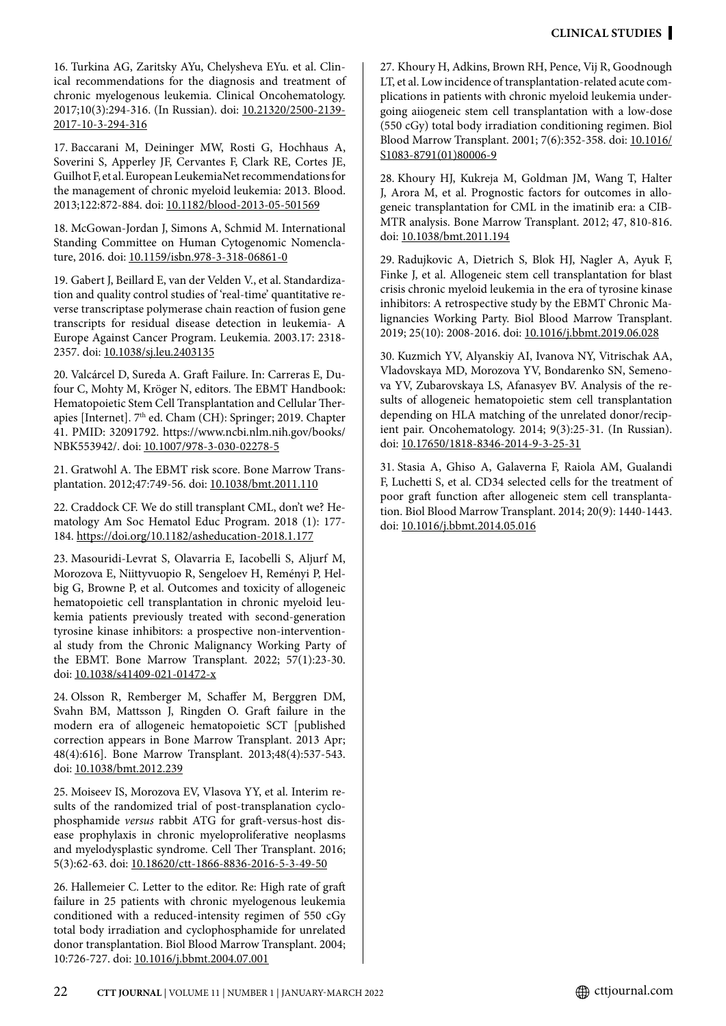16. Turkina AG, Zaritsky AYu, Chelysheva EYu. et al. Clinical recommendations for the diagnosis and treatment of chronic myelogenous leukemia. Clinical Oncohematology. 2017;10(3):294-316. (In Russian). doi: [10.21320/2500-2139-](http://doi.org/10.21320/2500-2139-2017-10-3-294-316) [2017-10-3-294-316](http://doi.org/10.21320/2500-2139-2017-10-3-294-316)

17. Baccarani M, Deininger MW, Rosti G, Hochhaus A, Soverini S, Apperley JF, Cervantes F, Clark RE, Cortes JE, Guilhot F, et al. European LeukemiaNet recommendations for the management of chronic myeloid leukemia: 2013. Blood. 2013;122:872-884. doi: [10.1182/blood-2013-05-501569](http://doi.org/10.1182/blood-2013-05-501569)

18. McGowan-Jordan J, Simons A, Schmid M. International Standing Committee on Human Cytogenomic Nomenclature, 2016. doi: [10.1159/isbn.978-3-318-06861-0](http://doi.org/10.1159/isbn.978-3-318-06861-0)

19. Gabert J, Beillard E, van der Velden V., et al. Standardization and quality control studies of 'real-time' quantitative reverse transcriptase polymerase chain reaction of fusion gene transcripts for residual disease detection in leukemia- A Europe Against Cancer Program. Leukemia. 2003.17: 2318- 2357. doi: [10.1038/sj.leu.2403135](http://doi.org/10.1038/sj.leu.2403135)

20. Valcárcel D, Sureda A. Graft Failure. In: Carreras E, Dufour C, Mohty M, Kröger N, editors. The EBMT Handbook: Hematopoietic Stem Cell Transplantation and Cellular Therapies [Internet]. 7<sup>th</sup> ed. Cham (CH): Springer; 2019. Chapter 41. PMID: 32091792. https://www.ncbi.nlm.nih.gov/books/ NBK553942/. doi: [10.1007/978-3-030-02278-5](http://doi.org/10.1007/978-3-030-02278-5)

21. Gratwohl A. The EBMT risk score. Bone Marrow Transplantation. 2012;47:749-56. doi: [10.1038/bmt.2011.110](http://doi.org/10.1038/bmt.2011.110)

22. Craddock CF. We do still transplant CML, don't we? Hematology Am Soc Hematol Educ Program. 2018 (1): 177- 184. [https://doi.org/10.1182/asheducation-2018.1.177](http://doi.org/10.1182/asheducation-2018.1.177)

23. Masouridi-Levrat S, Olavarria E, Iacobelli S, Aljurf M, Morozova E, Niittyvuopio R, Sengeloev H, Reményi P, Helbig G, Browne P, et al. Outcomes and toxicity of allogeneic hematopoietic cell transplantation in chronic myeloid leukemia patients previously treated with second-generation tyrosine kinase inhibitors: a prospective non-interventional study from the Chronic Malignancy Working Party of the EBMT. Bone Marrow Transplant. 2022; 57(1):23-30. doi: [10.1038/s41409-021-01472-x](http://doi.org/10.1038/s41409-021-01472-x)

24. Olsson R, Remberger M, Schaffer M, Berggren DM, Svahn BM, Mattsson J, Ringden O. Graft failure in the modern era of allogeneic hematopoietic SCT [published correction appears in Bone Marrow Transplant. 2013 Apr; 48(4):616]. Bone Marrow Transplant. 2013;48(4):537-543. doi: [10.1038/bmt.2012.239](http://doi.org/10.1038/bmt.2012.239)

25. Moiseev IS, Morozova EV, Vlasova YY, et al. Interim results of the randomized trial of post-transplanation cyclophosphamide *versus* rabbit ATG for graft-versus-host disease prophylaxis in chronic myeloproliferative neoplasms and myelodysplastic syndrome. Cell Ther Transplant. 2016; 5(3):62-63. doi: [10.18620/ctt-1866-8836-2016-5-3-49-50](http://doi.org/10.18620/ctt-1866-8836-2016-5-3-49-50)

26. Hallemeier C. Letter to the editor. Re: High rate of graft failure in 25 patients with chronic myelogenous leukemia conditioned with a reduced-intensity regimen of 550 cGy total body irradiation and cyclophosphamide for unrelated donor transplantation. Biol Blood Marrow Transplant. 2004; 10:726-727. doi: [10.1016/j.bbmt.2004.07.001](http://doi.org/10.1016/j.bbmt.2004.07.001)

27. Khoury H, Adkins, Brown RH, Pence, Vij R, Goodnough LT, et al. Low incidence of transplantation-related acute complications in patients with chronic myeloid leukemia undergoing aiiogeneic stem cell transplantation with a low-dose (550 cGy) total body irradiation conditioning regimen. Biol Blood Marrow Transplant. 2001; 7(6):352-358. doi: [10.1016/](http://doi.org/10.1016/S1083-8791%2801%2980006-9) [S1083-8791\(01\)80006-9](http://doi.org/10.1016/S1083-8791%2801%2980006-9)

28. Khoury HJ, Kukreja M, Goldman JM, Wang T, Halter J, Arora M, et al. Prognostic factors for outcomes in allogeneic transplantation for CML in the imatinib era: a CIB-MTR analysis. Bone Marrow Transplant. 2012; 47, 810-816. doi: [10.1038/bmt.2011.194](http://doi.org/10.1038/bmt.2011.194)

29. Radujkovic A, Dietrich S, Blok HJ, Nagler A, Ayuk F, Finke J, et al. Allogeneic stem cell transplantation for blast crisis chronic myeloid leukemia in the era of tyrosine kinase inhibitors: A retrospective study by the EBMT Chronic Malignancies Working Party. Biol Blood Marrow Transplant. 2019; 25(10): 2008-2016. doi: [10.1016/j.bbmt.2019.06.028](http://doi.org/10.1016/j.bbmt.2019.06.028)

30. Kuzmich YV, Alyanskiy AI, Ivanova NY, Vitrischak AA, Vladovskaya MD, Morozova YV, Bondarenko SN, Semenova YV, Zubarovskaya LS, Afanasyev BV. Analysis of the results of allogeneic hematopoietic stem cell transplantation depending on HLA matching of the unrelated donor/recipient pair. Oncohematology. 2014; 9(3):25-31. (In Russian). doi: [10.17650/1818-8346-2014-9-3-25-31](https://oncohematology.abvpress.ru/ongm/article/view/120/136%3Flocale%3Den_US%26ysclid%3Dl205e01c7s)

31. Stasia A, Ghiso A, Galaverna F, Raiola AM, Gualandi F, Luchetti S, et al. CD34 selected cells for the treatment of poor graft function after allogeneic stem cell transplantation. Biol Blood Marrow Transplant. 2014; 20(9): 1440-1443. doi: [10.1016/j.bbmt.2014.05.016](http://doi.org/10.1016/j.bbmt.2014.05.016)